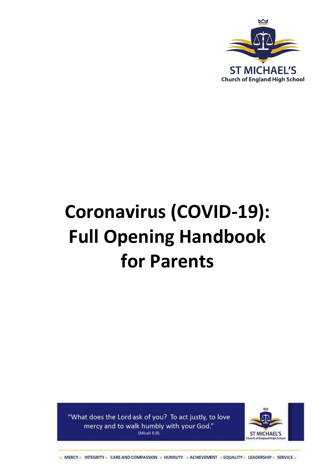

# **Coronavirus (COVID-19): Full Opening Handbook for Parents**

"What does the Lord ask of you? To act justly, to love mercy and to walk humbly with your God."  $(Micah 6:8)$ 

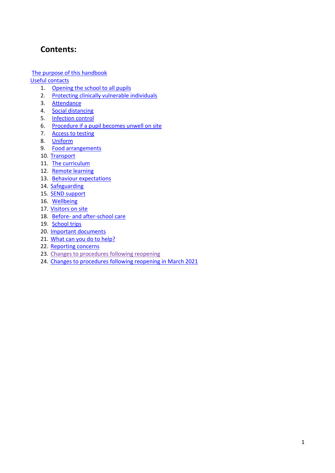# **Contents:**

[The purpose of this handbook](#page-1-0)

[Useful contacts](#page-2-0)

- 1. [Opening the school to all](#page-4-0) pupils
- 2. Protecting [clinically vulnerable individuals](#page-4-1)
- 3. [Attendance](#page-4-2)
- 4. [Social distancing](#page-5-0)
- 5. [Infection control](#page-6-0)
- 6. Procedure if a pupil becomes unwell on site
- 7. Access to testing
- 8. [Uniform](#page-9-0)
- 9. [Food arrangements](#page-9-1)
- 10. [Transport](#page-9-2)
- 11. [The curriculum](#page-10-0)
- 12. [Remote learning](#page-10-1)
- 13. [Behaviour expectations](#page-11-0)
- 14. [Safeguarding](#page-11-1)
- 15. [SEND support](#page-11-2)
- 16. [Wellbeing](#page-11-3)
- 17. [Visitors on site](#page-12-0)
- 18. Before- [and after-school care](#page-12-1)
- 19. [School trips](#page-12-2)
- 20. [Important documents](#page-12-3)
- 21. [What can you do to help?](#page-13-0)
- 22. [Reporting concerns](#page-13-1)
- 23. [Changes to procedures following reopening](#page-13-2)
- <span id="page-1-0"></span>24. Changes to procedures following reopening in March 2021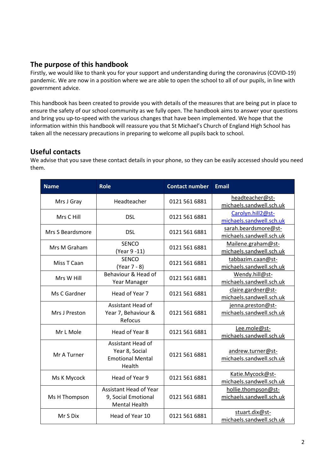# **The purpose of this handbook**

Firstly, we would like to thank you for your support and understanding during the coronavirus (COVID-19) pandemic. We are now in a position where we are able to open the school to all of our pupils, in line with government advice.

This handbook has been created to provide you with details of the measures that are being put in place to ensure the safety of our school community as we fully open. The handbook aims to answer your questions and bring you up-to-speed with the various changes that have been implemented. We hope that the information within this handbook will reassure you that St Michael's Church of England High School has taken all the necessary precautions in preparing to welcome all pupils back to school.

# <span id="page-2-0"></span>**Useful contacts**

We advise that you save these contact details in your phone, so they can be easily accessed should you need them.

| <b>Name</b>      | <b>Role</b>                                                                  | <b>Contact number</b> | <b>Email</b>                                     |
|------------------|------------------------------------------------------------------------------|-----------------------|--------------------------------------------------|
| Mrs J Gray       | Headteacher                                                                  | 0121 561 6881         | headteacher@st-<br>michaels.sandwell.sch.uk      |
| Mrs C Hill       | <b>DSL</b>                                                                   | 0121 561 6881         | Carolyn.hill2@st-<br>michaels.sandwell.sch.uk    |
| Mrs S Beardsmore | <b>DSL</b>                                                                   | 0121 561 6881         | sarah.beardsmore@st-<br>michaels.sandwell.sch.uk |
| Mrs M Graham     | <b>SENCO</b><br>(Year 9 -11)                                                 | 0121 561 6881         | Mailene.graham@st-<br>michaels.sandwell.sch.uk   |
| Miss T Caan      | <b>SENCO</b><br>(Year 7 - 8)                                                 | 0121 561 6881         | tabbazim.caan@st-<br>michaels.sandwell.sch.uk    |
| Mrs W Hill       | Behaviour & Head of<br>Year Manager                                          | 0121 561 6881         | Wendy.hill@st-<br>michaels.sandwell.sch.uk       |
| Ms C Gardner     | Head of Year 7                                                               | 0121 561 6881         | claire.gardner@st-<br>michaels.sandwell.sch.uk   |
| Mrs J Preston    | Assistant Head of<br>Year 7, Behaviour &<br>Refocus                          | 0121 561 6881         | jenna.preston@st-<br>michaels.sandwell.sch.uk    |
| Mr L Mole        | Head of Year 8                                                               | 0121 561 6881         | Lee.mole@st-<br>michaels.sandwell.sch.uk         |
| Mr A Turner      | Assistant Head of<br>Year 8, Social<br><b>Emotional Mental</b><br>Health     | 0121 561 6881         | andrew.turner@st-<br>michaels.sandwell.sch.uk    |
| Ms K Mycock      | Head of Year 9                                                               | 0121 561 6881         | Katie.Mycock@st-<br>michaels.sandwell.sch.uk     |
| Ms H Thompson    | <b>Assistant Head of Year</b><br>9, Social Emotional<br><b>Mental Health</b> | 0121 561 6881         | hollie.thompson@st-<br>michaels.sandwell.sch.uk  |
| Mr S Dix         | Head of Year 10                                                              | 0121 561 6881         | stuart.dix@st-<br>michaels.sandwell.sch.uk       |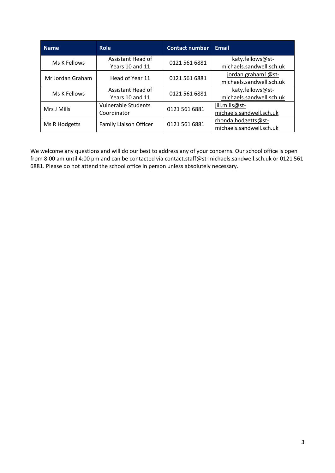| <b>Name</b>      | <b>Role</b>                          | <b>Contact number</b> | <b>Email</b>                                 |
|------------------|--------------------------------------|-----------------------|----------------------------------------------|
| Ms K Fellows     | Assistant Head of<br>Years 10 and 11 | 0121 561 6881         | katy.fellows@st-<br>michaels.sandwell.sch.uk |
|                  |                                      |                       | jordan.graham1@st-                           |
| Mr Jordan Graham | Head of Year 11                      | 0121 561 6881         | michaels.sandwell.sch.uk                     |
| Ms K Fellows     | Assistant Head of                    | 0121 561 6881         | katy.fellows@st-                             |
|                  | Years 10 and 11                      |                       | michaels.sandwell.sch.uk                     |
| Mrs J Mills      | <b>Vulnerable Students</b>           | 0121 561 6881         | jill.mills@st-                               |
|                  | Coordinator                          |                       | michaels.sandwell.sch.uk                     |
| Ms R Hodgetts    | Family Liaison Officer               | 0121 561 6881         | rhonda.hodgetts@st-                          |
|                  |                                      |                       | michaels.sandwell.sch.uk                     |

We welcome any questions and will do our best to address any of your concerns. Our school office is open from 8:00 am until 4:00 pm and can be contacted vi[a contact.staff@st-michaels.sandwell.sch.uk](mailto:contact.staff@st-michaels.sandwell.sch.uk) or 0121 561 6881. Please do not attend the school office in person unless absolutely necessary.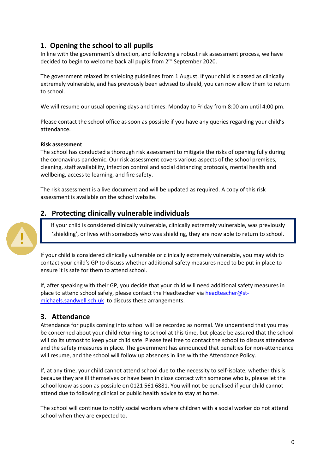# <span id="page-4-1"></span><span id="page-4-0"></span>**1. Opening the school to all pupils**

In line with the government's direction, and following a robust risk assessment process, we have decided to begin to welcome back all pupils from 2<sup>nd</sup> September 2020.

The government relaxed its shielding guidelines from 1 August. If your child is classed as clinically extremely vulnerable, and has previously been advised to shield, you can now allow them to return to school.

We will resume our usual opening days and times: Monday to Friday from 8:00 am until 4:00 pm.

Please contact the school office as soon as possible if you have any queries regarding your child's attendance.

#### **Risk assessment**

The school has conducted a thorough risk assessment to mitigate the risks of opening fully during the coronavirus pandemic. Our risk assessment covers various aspects of the school premises, cleaning, staff availability, infection control and social distancing protocols, mental health and wellbeing, access to learning, and fire safety.

The risk assessment is a live document and will be updated as required. A copy of this risk assessment is available on the school website.

## **2. Protecting clinically vulnerable individuals**

If your child is considered clinically vulnerable, clinically extremely vulnerable, was previously 'shielding', or lives with somebody who was shielding, they are now able to return to school.

If your child is considered clinically vulnerable or clinically extremely vulnerable, you may wish to contact your child's GP to discuss whether additional safety measures need to be put in place to ensure it is safe for them to attend school.

If, after speaking with their GP, you decide that your child will need additional safety measures in place to attend school safely, please contact the Headteacher via [headteacher@st](mailto:headteacher@st-michaels.sandwell.sch.uk)[michaels.sandwell.sch.uk](mailto:headteacher@st-michaels.sandwell.sch.uk) to discuss these arrangements.

## <span id="page-4-2"></span>**3. Attendance**

Attendance for pupils coming into school will be recorded as normal. We understand that you may be concerned about your child returning to school at this time, but please be assured that the school will do its utmost to keep your child safe. Please feel free to contact the school to discuss attendance and the safety measures in place. The government has announced that penalties for non-attendance will resume, and the school will follow up absences in line with the Attendance Policy.

If, at any time, your child cannot attend school due to the necessity to self-isolate, whether this is because they are ill themselves or have been in close contact with someone who is, please let the school know as soon as possible on 0121 561 6881. You will not be penalised if your child cannot attend due to following clinical or public health advice to stay at home.

The school will continue to notify social workers where children with a social worker do not attend school when they are expected to.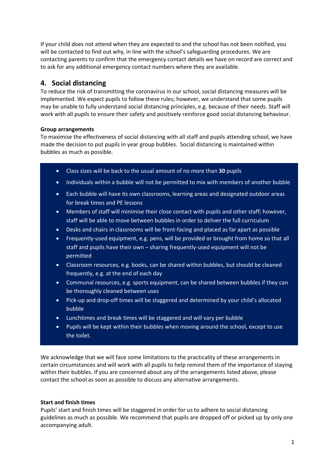If your child does not attend when they are expected to and the school has not been notified, you will be contacted to find out why, in line with the school's safeguarding procedures. We are contacting parents to confirm that the emergency contact details we have on record are correct and to ask for any additional emergency contact numbers where they are available.

# <span id="page-5-0"></span>**4. Social distancing**

To reduce the risk of transmitting the coronavirus in our school, social distancing measures will be implemented. We expect pupils to follow these rules; however, we understand that some pupils may be unable to fully understand social distancing principles, e.g. because of their needs. Staff will work with all pupils to ensure their safety and positively reinforce good social distancing behaviour.

#### **Group arrangements**

To maximise the effectiveness of social distancing with all staff and pupils attending school, we have made the decision to put pupils in year group bubbles. Social distancing is maintained within bubbles as much as possible.

- Class sizes will be back to the usual amount of no more than **30** pupils
- Individuals within a bubble will not be permitted to mix with members of another bubble
- Each bubble will have its own classrooms, learning areas and designated outdoor areas for break times and PE lessons
- Members of staff will minimise their close contact with pupils and other staff; however, staff will be able to move between bubbles in order to deliver the full curriculum
- Desks and chairs in classrooms will be front-facing and placed as far apart as possible
- Frequently-used equipment, e.g. pens, will be provided or brought from home so that all staff and pupils have their own – sharing frequently-used equipment will not be permitted
- Classroom resources, e.g. books, can be shared within bubbles, but should be cleaned frequently, e.g. at the end of each day
- Communal resources, e.g. sports equipment, can be shared between bubbles if they can be thoroughly cleaned between uses
- Pick-up and drop-off times will be staggered and determined by your child's allocated bubble
- Lunchtimes and break times will be staggered and will vary per bubble
- Pupils will be kept within their bubbles when moving around the school, except to use the toilet.

We acknowledge that we will face some limitations to the practicality of these arrangements in certain circumstances and will work with all pupils to help remind them of the importance of staying within their bubbles. If you are concerned about any of the arrangements listed above, please contact the school as soon as possible to discuss any alternative arrangements.

#### **Start and finish times**

Pupils' start and finish times will be staggered in order for us to adhere to social distancing guidelines as much as possible. We recommend that pupils are dropped off or picked up by only one accompanying adult.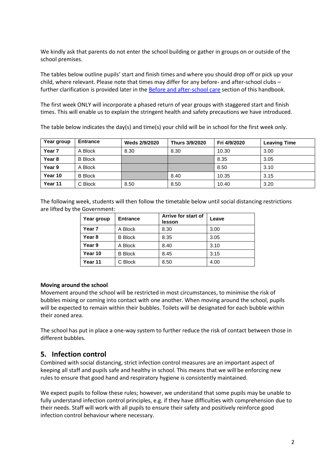We kindly ask that parents do not enter the school building or gather in groups on or outside of the school premises.

The tables below outline pupils' start and finish times and where you should drop off or pick up your child, where relevant. Please note that times may differ for any before- and after-school clubs – further clarification is provided later in the [Before and after-school care](#page-12-1) section of this handbook.

The first week ONLY will incorporate a phased return of year groups with staggered start and finish times. This will enable us to explain the stringent health and safety precautions we have introduced.

The table below indicates the day(s) and time(s) your child will be in school for the first week only.

| Year group | <b>Entrance</b> | Weds 2/9/2020 | Thurs 3/9/2020 | Fri 4/9/2020 | <b>Leaving Time</b> |
|------------|-----------------|---------------|----------------|--------------|---------------------|
| Year 7     | A Block         | 8.30          | 8.30           | 10.30        | 3.00                |
| Year 8     | <b>B</b> Block  |               |                | 8.35         | 3.05                |
| Year 9     | A Block         |               |                | 8.50         | 3.10                |
| Year 10    | <b>B</b> Block  |               | 8.40           | 10.35        | 3.15                |
| Year 11    | C Block         | 8.50          | 8.50           | 10.40        | 3.20                |

The following week, students will then follow the timetable below until social distancing restrictions are lifted by the Government:

| Year group        | <b>Entrance</b> | Arrive for start of<br>lesson | Leave |
|-------------------|-----------------|-------------------------------|-------|
| Year <sub>7</sub> | A Block         | 8.30                          | 3.00  |
| Year <sub>8</sub> | <b>B</b> Block  | 8.35                          | 3.05  |
| Year 9            | A Block         | 8.40                          | 3.10  |
| Year 10           | <b>B</b> Block  | 8.45                          | 3.15  |
| Year 11           | C Block         | 8.50                          | 4.00  |

#### **Moving around the school**

Movement around the school will be restricted in most circumstances, to minimise the risk of bubbles mixing or coming into contact with one another. When moving around the school, pupils will be expected to remain within their bubbles. Toilets will be designated for each bubble within their zoned area.

The school has put in place a one-way system to further reduce the risk of contact between those in different bubbles.

#### <span id="page-6-0"></span>**5. Infection control**

Combined with social distancing, strict infection control measures are an important aspect of keeping all staff and pupils safe and healthy in school. This means that we will be enforcing new rules to ensure that good hand and respiratory hygiene is consistently maintained.

We expect pupils to follow these rules; however, we understand that some pupils may be unable to fully understand infection control principles, e.g. if they have difficulties with comprehension due to their needs. Staff will work with all pupils to ensure their safety and positively reinforce good infection control behaviour where necessary.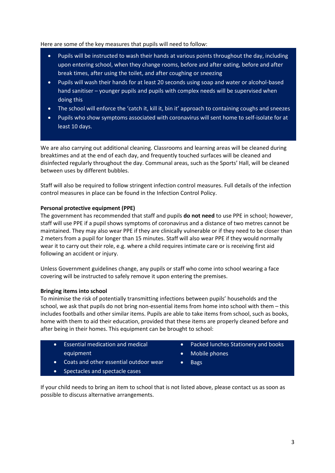#### Here are some of the key measures that pupils will need to follow:

- Pupils will be instructed to wash their hands at various points throughout the day, including upon entering school, when they change rooms, before and after eating, before and after break times, after using the toilet, and after coughing or sneezing
- Pupils will wash their hands for at least 20 seconds using soap and water or alcohol-based hand sanitiser – younger pupils and pupils with complex needs will be supervised when doing this
- The school will enforce the 'catch it, kill it, bin it' approach to containing coughs and sneezes
- Pupils who show symptoms associated with coronavirus will sent home to self-isolate for at least 10 days.

We are also carrying out additional cleaning. Classrooms and learning areas will be cleaned during breaktimes and at the end of each day, and frequently touched surfaces will be cleaned and disinfected regularly throughout the day. Communal areas, such as the Sports' Hall, will be cleaned between uses by different bubbles.

Staff will also be required to follow stringent infection control measures. Full details of the infection control measures in place can be found in the Infection Control Policy.

#### **Personal protective equipment (PPE)**

The government has recommended that staff and pupils **do not need** to use PPE in school; however, staff will use PPE if a pupil shows symptoms of coronavirus and a distance of two metres cannot be maintained. They may also wear PPE if they are clinically vulnerable or if they need to be closer than 2 meters from a pupil for longer than 15 minutes. Staff will also wear PPE if they would normally wear it to carry out their role, e.g. where a child requires intimate care or is receiving first aid following an accident or injury.

Unless Government guidelines change, any pupils or staff who come into school wearing a face covering will be instructed to safely remove it upon entering the premises.

#### **Bringing items into school**

To minimise the risk of potentially transmitting infections between pupils' households and the school, we ask that pupils do not bring non-essential items from home into school with them – this includes footballs and other similar items. Pupils are able to take items from school, such as books, home with them to aid their education, provided that these items are properly cleaned before and after being in their homes. This equipment can be brought to school:

- Essential medication and medical equipment
- Coats and other essential outdoor wear
- Spectacles and spectacle cases
- Packed lunches Stationery and books
- Mobile phones
- **Bags**

If your child needs to bring an item to school that is not listed above, please contact us as soon as possible to discuss alternative arrangements.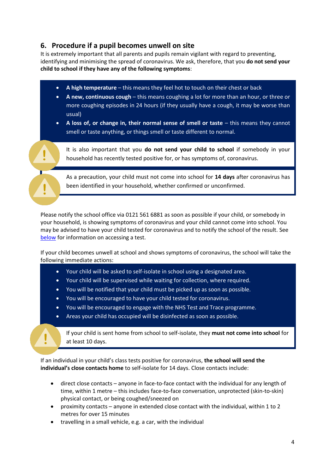# **6. Procedure if a pupil becomes unwell on site**

It is extremely important that all parents and pupils remain vigilant with regard to preventing, identifying and minimising the spread of coronavirus. We ask, therefore, that you **do not send your child to school if they have any of the following symptoms**:

- **A high temperature** this means they feel hot to touch on their chest or back
- **A new, continuous cough** this means coughing a lot for more than an hour, or three or more coughing episodes in 24 hours (if they usually have a cough, it may be worse than usual)

 **A loss of, or change in, their normal sense of smell or taste** – this means they cannot smell or taste anything, or things smell or taste different to normal.

It is also important that you **do not send your child to school** if somebody in your household has recently tested positive for, or has symptoms of, coronavirus.

As a precaution, your child must not come into school for **14 days** after coronavirus has been identified in your household, whether confirmed or unconfirmed.

Please notify the school office via 0121 561 6881 as soon as possible if your child, or somebody in your household, is showing symptoms of coronavirus and your child cannot come into school. You may be advised to have your child tested for coronavirus and to notify the school of the result. See below for information on accessing a test.

If your child becomes unwell at school and shows symptoms of coronavirus, the school will take the following immediate actions:

- Your child will be asked to self-isolate in school using a designated area.
- Your child will be supervised while waiting for collection, where required.
- You will be notified that your child must be picked up as soon as possible.
- You will be encouraged to have your child tested for coronavirus.
- You will be encouraged to engage with the NHS Test and Trace programme.
- Areas your child has occupied will be disinfected as soon as possible.

If your child is sent home from school to self-isolate, they **must not come into school** for at least 10 days.

If an individual in your child's class tests positive for coronavirus, **the school will send the individual's close contacts home** to self-isolate for 14 days. Close contacts include:

- direct close contacts anyone in face-to-face contact with the individual for any length of time, within 1 metre – this includes face-to-face conversation, unprotected (skin-to-skin) physical contact, or being coughed/sneezed on
- proximity contacts anyone in extended close contact with the individual, within 1 to 2 metres for over 15 minutes
- travelling in a small vehicle, e.g. a car, with the individual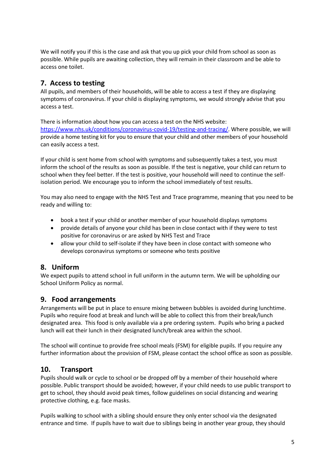We will notify you if this is the case and ask that you up pick your child from school as soon as possible. While pupils are awaiting collection, they will remain in their classroom and be able to access one toilet.

# **7. Access to testing**

All pupils, and members of their households, will be able to access a test if they are displaying symptoms of coronavirus. If your child is displaying symptoms, we would strongly advise that you access a test.

There is information about how you can access a test on the NHS website: [https://www.nhs.uk/conditions/coronavirus-covid-19/testing-and-tracing/.](https://www.nhs.uk/conditions/coronavirus-covid-19/testing-and-tracing/) Where possible, we will provide a home testing kit for you to ensure that your child and other members of your household can easily access a test.

If your child is sent home from school with symptoms and subsequently takes a test, you must inform the school of the results as soon as possible. If the test is negative, your child can return to school when they feel better. If the test is positive, your household will need to continue the selfisolation period. We encourage you to inform the school immediately of test results.

You may also need to engage with the NHS Test and Trace programme, meaning that you need to be ready and willing to:

- book a test if your child or another member of your household displays symptoms
- provide details of anyone your child has been in close contact with if they were to test positive for coronavirus or are asked by NHS Test and Trace
- <span id="page-9-0"></span> allow your child to self-isolate if they have been in close contact with someone who develops coronavirus symptoms or someone who tests positive

## **8. Uniform**

We expect pupils to attend school in full uniform in the autumn term. We will be upholding our School Uniform Policy as normal.

## <span id="page-9-1"></span>**9. Food arrangements**

Arrangements will be put in place to ensure mixing between bubbles is avoided during lunchtime. Pupils who require food at break and lunch will be able to collect this from their break/lunch designated area. This food is only available via a pre ordering system. Pupils who bring a packed lunch will eat their lunch in their designated lunch/break area within the school.

The school will continue to provide free school meals (FSM) for eligible pupils. If you require any further information about the provision of FSM, please contact the school office as soon as possible.

## <span id="page-9-2"></span>**10. Transport**

Pupils should walk or cycle to school or be dropped off by a member of their household where possible. Public transport should be avoided; however, if your child needs to use public transport to get to school, they should avoid peak times, follow guidelines on social distancing and wearing protective clothing, e.g. face masks.

Pupils walking to school with a sibling should ensure they only enter school via the designated entrance and time. If pupils have to wait due to siblings being in another year group, they should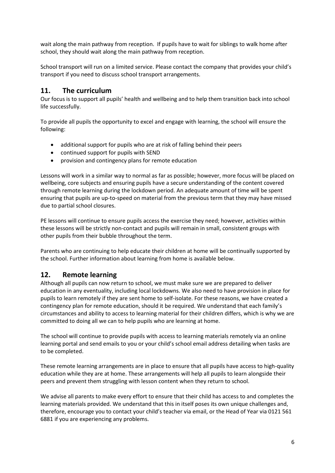wait along the main pathway from reception. If pupils have to wait for siblings to walk home after school, they should wait along the main pathway from reception.

School transport will run on a limited service. Please contact the company that provides your child's transport if you need to discuss school transport arrangements.

#### <span id="page-10-0"></span>**11. The curriculum**

Our focus is to support all pupils' health and wellbeing and to help them transition back into school life successfully.

To provide all pupils the opportunity to excel and engage with learning, the school will ensure the following:

- additional support for pupils who are at risk of falling behind their peers
- continued support for pupils with SEND
- provision and contingency plans for remote education

Lessons will work in a similar way to normal as far as possible; however, more focus will be placed on wellbeing, core subjects and ensuring pupils have a secure understanding of the content covered through remote learning during the lockdown period. An adequate amount of time will be spent ensuring that pupils are up-to-speed on material from the previous term that they may have missed due to partial school closures.

PE lessons will continue to ensure pupils access the exercise they need; however, activities within these lessons will be strictly non-contact and pupils will remain in small, consistent groups with other pupils from their bubble throughout the term.

Parents who are continuing to help educate their children at home will be continually supported by the school. Further information about learning from home is available below.

## <span id="page-10-1"></span>**12. Remote learning**

Although all pupils can now return to school, we must make sure we are prepared to deliver education in any eventuality, including local lockdowns. We also need to have provision in place for pupils to learn remotely if they are sent home to self-isolate. For these reasons, we have created a contingency plan for remote education, should it be required. We understand that each family's circumstances and ability to access to learning material for their children differs, which is why we are committed to doing all we can to help pupils who are learning at home.

The school will continue to provide pupils with access to learning materials remotely via an online learning portal and send emails to you or your child's school email address detailing when tasks are to be completed.

These remote learning arrangements are in place to ensure that all pupils have access to high-quality education while they are at home. These arrangements will help all pupils to learn alongside their peers and prevent them struggling with lesson content when they return to school.

We advise all parents to make every effort to ensure that their child has access to and completes the learning materials provided. We understand that this in itself poses its own unique challenges and, therefore, encourage you to contact your child's teacher via email, or the Head of Year via 0121 561 6881 if you are experiencing any problems.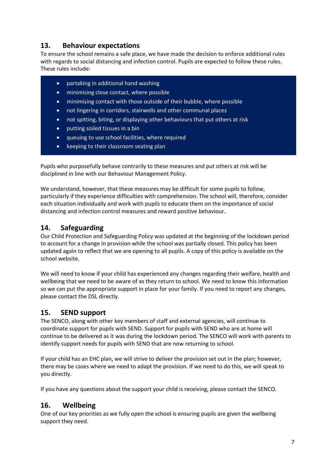## <span id="page-11-0"></span>**13. Behaviour expectations**

To ensure the school remains a safe place, we have made the decision to enforce additional rules with regards to social distancing and infection control. Pupils are expected to follow these rules. These rules include:

- partaking in additional hand washing
- minimising close contact, where possible
- minimising contact with those outside of their bubble, where possible
- not lingering in corridors, stairwells and other communal places
- not spitting, biting, or displaying other behaviours that put others at risk
- putting soiled tissues in a bin
- queuing to use school facilities, where required
- keeping to their classroom seating plan

Pupils who purposefully behave contrarily to these measures and put others at risk will be disciplined in line with our Behaviour Management Policy.

We understand, however, that these measures may be difficult for some pupils to follow, particularly if they experience difficulties with comprehension. The school will, therefore, consider each situation individually and work with pupils to educate them on the importance of social distancing and infection control measures and reward positive behaviour.

## <span id="page-11-1"></span>**14. Safeguarding**

Our Child Protection and Safeguarding Policy was updated at the beginning of the lockdown period to account for a change in provision while the school was partially closed. This policy has been updated again to reflect that we are opening to all pupils. A copy of this policy is available on the school website.

We will need to know if your child has experienced any changes regarding their welfare, health and wellbeing that we need to be aware of as they return to school. We need to know this information so we can put the appropriate support in place for your family. If you need to report any changes, please contact the DSL directly.

# <span id="page-11-2"></span>**15. SEND support**

The SENCO, along with other key members of staff and external agencies, will continue to coordinate support for pupils with SEND. Support for pupils with SEND who are at home will continue to be delivered as it was during the lockdown period. The SENCO will work with parents to identify support needs for pupils with SEND that are now returning to school.

If your child has an EHC plan, we will strive to deliver the provision set out in the plan; however, there may be cases where we need to adapt the provision. If we need to do this, we will speak to you directly.

If you have any questions about the support your child is receiving, please contact the SENCO.

## <span id="page-11-3"></span>**16. Wellbeing**

One of our key priorities as we fully open the school is ensuring pupils are given the wellbeing support they need.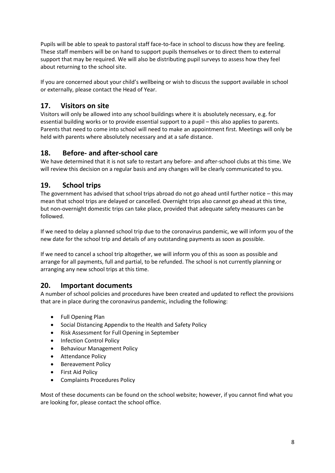Pupils will be able to speak to pastoral staff face-to-face in school to discuss how they are feeling. These staff members will be on hand to support pupils themselves or to direct them to external support that may be required. We will also be distributing pupil surveys to assess how they feel about returning to the school site.

If you are concerned about your child's wellbeing or wish to discuss the support available in school or externally, please contact the Head of Year.

# <span id="page-12-0"></span>**17. Visitors on site**

Visitors will only be allowed into any school buildings where it is absolutely necessary, e.g. for essential building works or to provide essential support to a pupil – this also applies to parents. Parents that need to come into school will need to make an appointment first. Meetings will only be held with parents where absolutely necessary and at a safe distance.

# <span id="page-12-1"></span>**18. Before- and after-school care**

We have determined that it is not safe to restart any before- and after-school clubs at this time. We will review this decision on a regular basis and any changes will be clearly communicated to you.

## <span id="page-12-2"></span>**19. School trips**

The government has advised that school trips abroad do not go ahead until further notice – this may mean that school trips are delayed or cancelled. Overnight trips also cannot go ahead at this time, but non-overnight domestic trips can take place, provided that adequate safety measures can be followed.

If we need to delay a planned school trip due to the coronavirus pandemic, we will inform you of the new date for the school trip and details of any outstanding payments as soon as possible.

If we need to cancel a school trip altogether, we will inform you of this as soon as possible and arrange for all payments, full and partial, to be refunded. The school is not currently planning or arranging any new school trips at this time.

## <span id="page-12-3"></span>**20. Important documents**

A number of school policies and procedures have been created and updated to reflect the provisions that are in place during the coronavirus pandemic, including the following:

- Full Opening Plan
- Social Distancing Appendix to the Health and Safety Policy
- Risk Assessment for Full Opening in September
- Infection Control Policy
- **•** Behaviour Management Policy
- **•** Attendance Policy
- Bereavement Policy
- First Aid Policy
- Complaints Procedures Policy

Most of these documents can be found on the school website; however, if you cannot find what you are looking for, please contact the school office.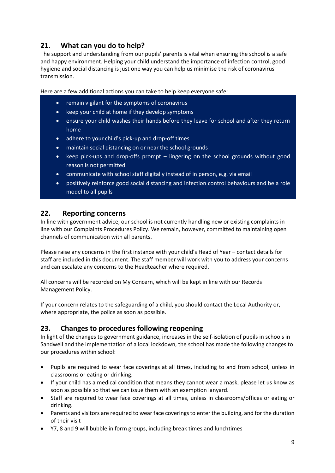# <span id="page-13-0"></span>**21. What can you do to help?**

The support and understanding from our pupils' parents is vital when ensuring the school is a safe and happy environment. Helping your child understand the importance of infection control, good hygiene and social distancing is just one way you can help us minimise the risk of coronavirus transmission.

Here are a few additional actions you can take to help keep everyone safe:

- remain vigilant for the symptoms of coronavirus
- keep your child at home if they develop symptoms
- ensure your child washes their hands before they leave for school and after they return home
- adhere to your child's pick-up and drop-off times
- maintain social distancing on or near the school grounds
- keep pick-ups and drop-offs prompt lingering on the school grounds without good reason is not permitted
- communicate with school staff digitally instead of in person, e.g. via email
- positively reinforce good social distancing and infection control behaviours and be a role model to all pupils

#### <span id="page-13-1"></span>**22. Reporting concerns**

In line with government advice, our school is not currently handling new or existing complaints in line with our Complaints Procedures Policy. We remain, however, committed to maintaining open channels of communication with all parents.

Please raise any concerns in the first instance with your child's Head of Year – contact details for staff are included in this document. The staff member will work with you to address your concerns and can escalate any concerns to the Headteacher where required.

All concerns will be recorded on My Concern, which will be kept in line with our Records Management Policy.

If your concern relates to the safeguarding of a child, you should contact the Local Authority or, where appropriate, the police as soon as possible.

# <span id="page-13-2"></span>**23. Changes to procedures following reopening**

In light of the changes to government guidance, increases in the self-isolation of pupils in schools in Sandwell and the implementation of a local lockdown, the school has made the following changes to our procedures within school:

- Pupils are required to wear face coverings at all times, including to and from school, unless in classrooms or eating or drinking.
- If your child has a medical condition that means they cannot wear a mask, please let us know as soon as possible so that we can issue them with an exemption lanyard.
- Staff are required to wear face coverings at all times, unless in classrooms/offices or eating or drinking.
- Parents and visitors are required to wear face coverings to enter the building, and for the duration of their visit
- Y7, 8 and 9 will bubble in form groups, including break times and lunchtimes